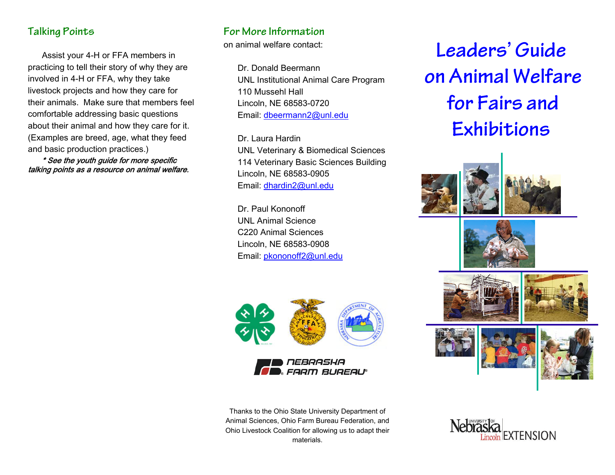## **Talking Points**

Assist your 4-H or FFA members in practicing to tell their story of why they are involved in 4-H or FFA, why they take livestock projects and how they care for their animals. Make sure that members feelcomfortable addressing basic questions about their animal and how they care for it. (Examples are breed, age, what they feed and basic production practices.)

\* See the youth guide for more specific talking points as a resource on animal welfare.

## **For More Information**

on animal welfare contact:

Dr. Donald BeermannUNL Institutional Animal Care Program 110 Mussehl HallLincoln, NE 68583-0720 Email: dbeermann2@unl.edu

Dr. Laura HardinUNL Veterinary & Biomedical Sciences 114 Veterinary Basic Sciences Building Lincoln, NE 68583-0905 Email: dhardin2@unl.edu

Dr. Paul KononoffUNL Animal ScienceC220 Animal SciencesLincoln, NE 68583-0908 Email: pkononoff2@unl.edu



Thanks to the Ohio State University Department of Animal Sciences, Ohio Farm Bureau Federation, and Ohio Livestock Coalition for allowing us to adapt their materials.

**Leaders' Guide on Animal Welfare for Fairs andExhibitions**